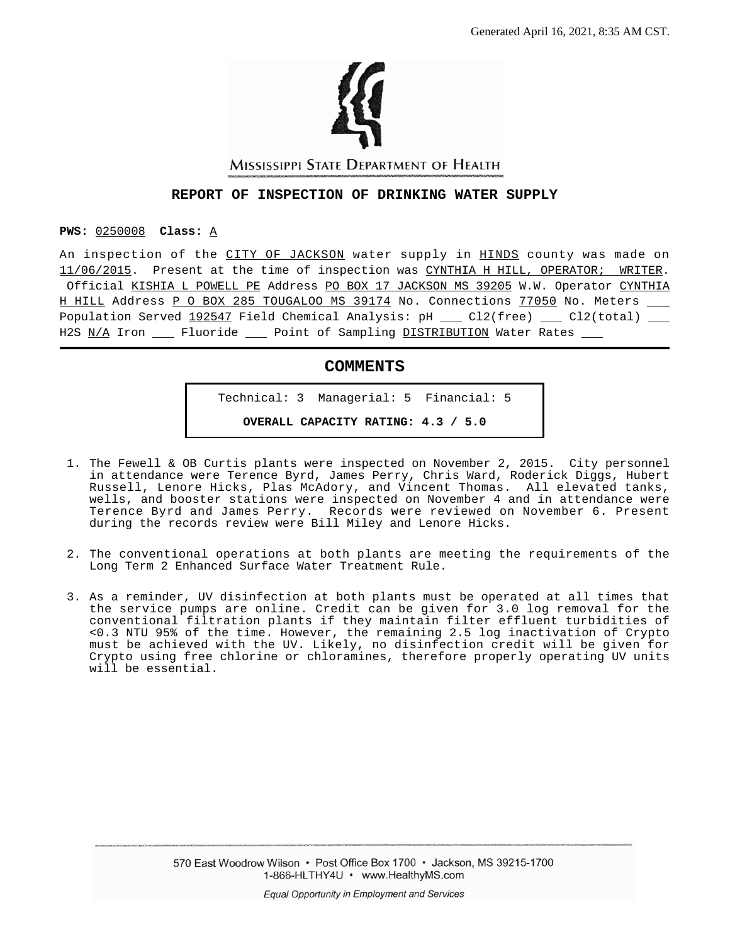

MISSISSIPPI STATE DEPARTMENT OF HEALTH

## **REPORT OF INSPECTION OF DRINKING WATER SUPPLY**

#### **PWS:** 0250008 **Class:** A

An inspection of the CITY OF JACKSON water supply in HINDS county was made on 11/06/2015. Present at the time of inspection was CYNTHIA H HILL, OPERATOR; WRITER. Official KISHIA L POWELL PE Address PO BOX 17 JACKSON MS 39205 W.W. Operator CYNTHIA H HILL Address P O BOX 285 TOUGALOO MS 39174 No. Connections 77050 No. Meters \_\_ Population Served  $192547$  Field Chemical Analysis: pH \_\_ Cl2(free) \_\_ Cl2(total) \_\_ H2S N/A Iron \_\_\_ Fluoride \_\_\_ Point of Sampling DISTRIBUTION Water Rates \_\_\_

## **COMMENTS**

Technical: 3 Managerial: 5 Financial: 5

**OVERALL CAPACITY RATING: 4.3 / 5.0**

- 1. The Fewell & OB Curtis plants were inspected on November 2, 2015. City personnel in attendance were Terence Byrd, James Perry, Chris Ward, Roderick Diggs, Hubert Russell, Lenore Hicks, Plas McAdory, and Vincent Thomas. All elevated tanks, wells, and booster stations were inspected on November 4 and in attendance were Terence Byrd and James Perry. Records were reviewed on November 6. Present during the records review were Bill Miley and Lenore Hicks.
- 2. The conventional operations at both plants are meeting the requirements of the Long Term 2 Enhanced Surface Water Treatment Rule.
- 3. As a reminder, UV disinfection at both plants must be operated at all times that the service pumps are online. Credit can be given for 3.0 log removal for the conventional filtration plants if they maintain filter effluent turbidities of <0.3 NTU 95% of the time. However, the remaining 2.5 log inactivation of Crypto must be achieved with the UV. Likely, no disinfection credit will be given for Crypto using free chlorine or chloramines, therefore properly operating UV units will be essential.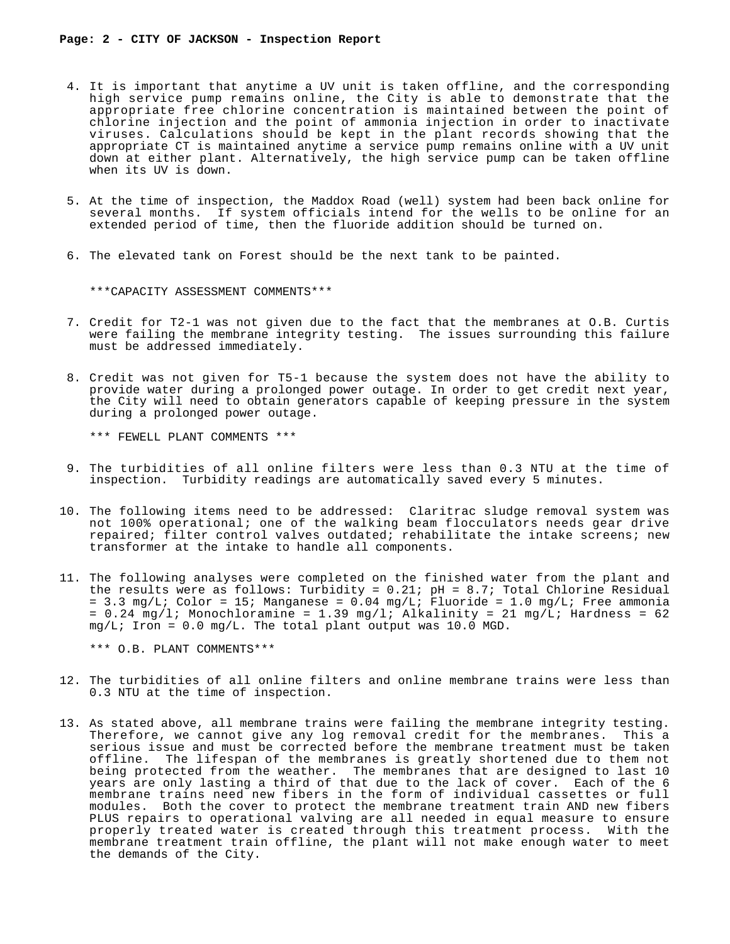- 4. It is important that anytime a UV unit is taken offline, and the corresponding high service pump remains online, the City is able to demonstrate that the appropriate free chlorine concentration is maintained between the point of chlorine injection and the point of ammonia injection in order to inactivate viruses. Calculations should be kept in the plant records showing that the appropriate CT is maintained anytime a service pump remains online with a UV unit down at either plant. Alternatively, the high service pump can be taken offline when its UV is down.
- 5. At the time of inspection, the Maddox Road (well) system had been back online for several months. If system officials intend for the wells to be online for an extended period of time, then the fluoride addition should be turned on.
- 6. The elevated tank on Forest should be the next tank to be painted.

\*\*\*CAPACITY ASSESSMENT COMMENTS\*\*\*

- 7. Credit for T2-1 was not given due to the fact that the membranes at O.B. Curtis were failing the membrane integrity testing. The issues surrounding this failure must be addressed immediately.
- 8. Credit was not given for T5-1 because the system does not have the ability to provide water during a prolonged power outage. In order to get credit next year, the City will need to obtain generators capable of keeping pressure in the system during a prolonged power outage.

\*\*\* FEWELL PLANT COMMENTS \*\*\*

- 9. The turbidities of all online filters were less than 0.3 NTU at the time of inspection. Turbidity readings are automatically saved every 5 minutes.
- 10. The following items need to be addressed: Claritrac sludge removal system was not 100% operational; one of the walking beam flocculators needs gear drive repaired; filter control valves outdated; rehabilitate the intake screens; new transformer at the intake to handle all components.
- 11. The following analyses were completed on the finished water from the plant and the results were as follows: Turbidity =  $0.21$ ; pH =  $8.7$ ; Total Chlorine Residual = 3.3 mg/L; Color = 15; Manganese =  $0.04$  mg/L; Fluoride = 1.0 mg/L; Free ammonia =  $0.24 \text{ mg/l}$ ; Monochloramine = 1.39 mg/l; Alkalinity = 21 mg/L; Hardness = 62  $mq/L$ ; Iron = 0.0 mg/L. The total plant output was 10.0 MGD.

\*\*\* O.B. PLANT COMMENTS\*\*\*

- 12. The turbidities of all online filters and online membrane trains were less than 0.3 NTU at the time of inspection.
- 13. As stated above, all membrane trains were failing the membrane integrity testing. Therefore, we cannot give any log removal credit for the membranes. This a serious issue and must be corrected before the membrane treatment must be taken offline. The lifespan of the membranes is greatly shortened due to them not being protected from the weather. The membranes that are designed to last 10 years are only lasting a third of that due to the lack of cover. Each of the 6 membrane trains need new fibers in the form of individual cassettes or full modules. Both the cover to protect the membrane treatment train AND new fibers PLUS repairs to operational valving are all needed in equal measure to ensure properly treated water is created through this treatment process. With the membrane treatment train offline, the plant will not make enough water to meet the demands of the City.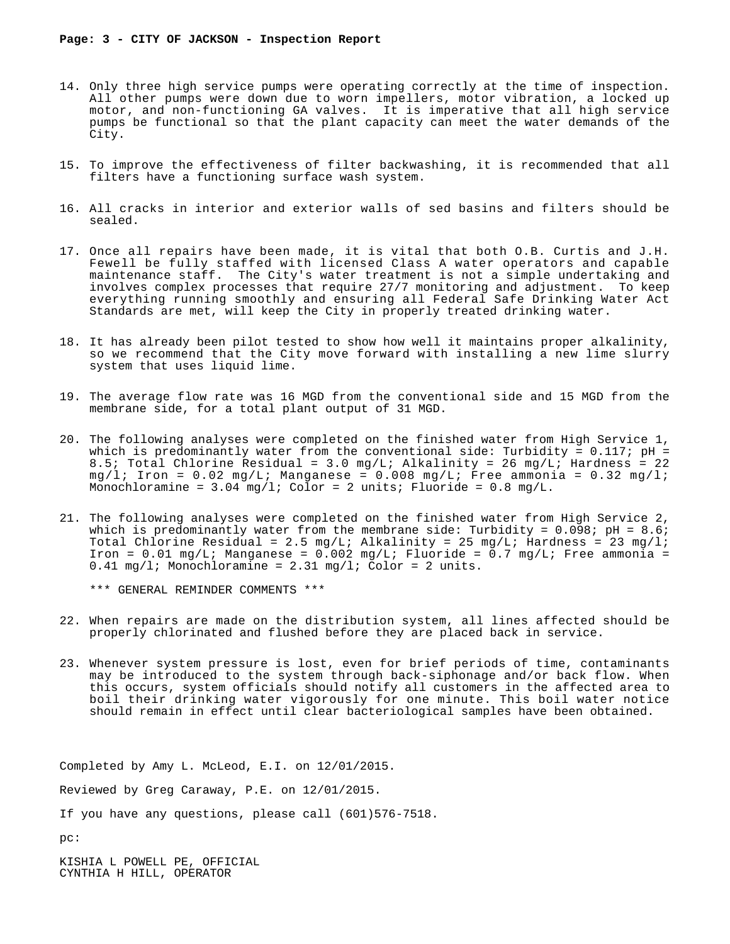- 14. Only three high service pumps were operating correctly at the time of inspection. All other pumps were down due to worn impellers, motor vibration, a locked up motor, and non-functioning GA valves. It is imperative that all high service pumps be functional so that the plant capacity can meet the water demands of the City.
- 15. To improve the effectiveness of filter backwashing, it is recommended that all filters have a functioning surface wash system.
- 16. All cracks in interior and exterior walls of sed basins and filters should be sealed.
- 17. Once all repairs have been made, it is vital that both O.B. Curtis and J.H. Fewell be fully staffed with licensed Class A water operators and capable maintenance staff. The City's water treatment is not a simple undertaking and involves complex processes that require 27/7 monitoring and adjustment. To keep everything running smoothly and ensuring all Federal Safe Drinking Water Act Standards are met, will keep the City in properly treated drinking water.
- 18. It has already been pilot tested to show how well it maintains proper alkalinity, so we recommend that the City move forward with installing a new lime slurry system that uses liquid lime.
- 19. The average flow rate was 16 MGD from the conventional side and 15 MGD from the membrane side, for a total plant output of 31 MGD.
- 20. The following analyses were completed on the finished water from High Service 1, which is predominantly water from the conventional side: Turbidity =  $0.117$ ; pH = 8.5; Total Chlorine Residual = 3.0 mg/L; Alkalinity = 26 mg/L; Hardness = 22  $mq/l$ ; Iron = 0.02 mq/L; Manganese = 0.008 mq/L; Free ammonia = 0.32 mq/l; Monochloramine =  $3.04 \text{ mg/l}$ ; Color = 2 units; Fluoride =  $0.8 \text{ mg/L}$ .
- 21. The following analyses were completed on the finished water from High Service 2, which is predominantly water from the membrane side: Turbidity =  $0.098$ ; pH =  $8.6$ ; Total Chlorine Residual = 2.5 mg/L; Alkalinity = 25 mg/L; Hardness = 23 mg/l; Iron =  $0.01$  mg/L; Manganese =  $0.002$  mg/L; Fluoride =  $0.7$  mg/L; Free ammonia = 0.41 mg/l; Monochloramine = 2.31 mg/l; Color = 2 units.

\*\*\* GENERAL REMINDER COMMENTS \*\*\*

- 22. When repairs are made on the distribution system, all lines affected should be properly chlorinated and flushed before they are placed back in service.
- 23. Whenever system pressure is lost, even for brief periods of time, contaminants may be introduced to the system through back-siphonage and/or back flow. When this occurs, system officials should notify all customers in the affected area to boil their drinking water vigorously for one minute. This boil water notice should remain in effect until clear bacteriological samples have been obtained.

Completed by Amy L. McLeod, E.I. on 12/01/2015.

Reviewed by Greg Caraway, P.E. on 12/01/2015.

If you have any questions, please call (601)576-7518.

pc:

KISHIA L POWELL PE, OFFICIAL CYNTHIA H HILL, OPERATOR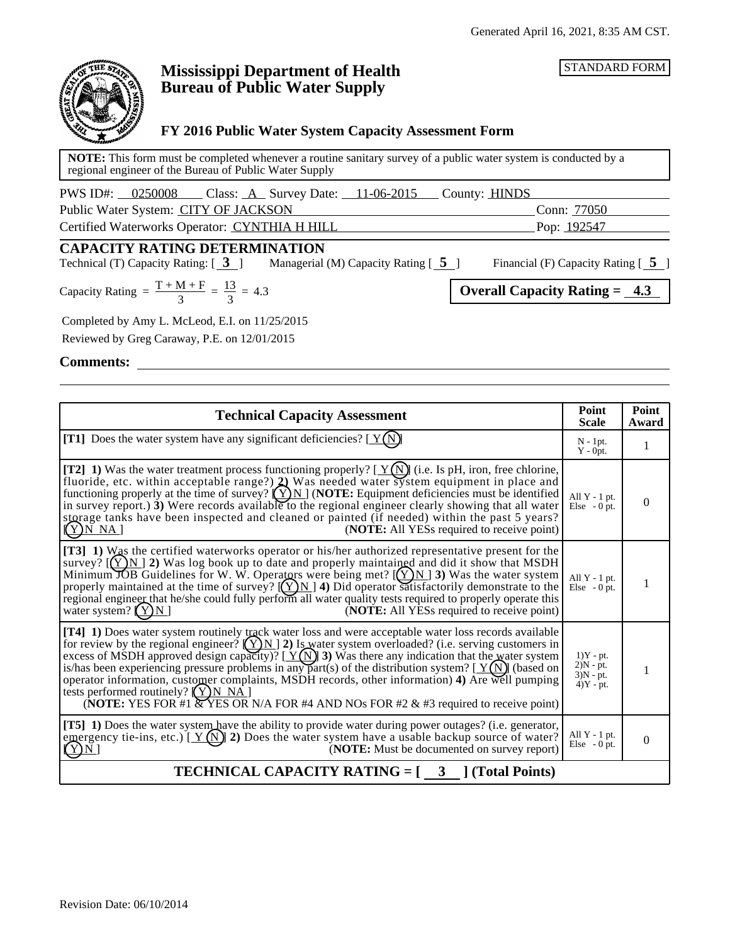STANDARD FORM



# **Mississippi Department of Health Bureau of Public Water Supply**

## **FY 2016 Public Water System Capacity Assessment Form**

**NOTE:** This form must be completed whenever a routine sanitary survey of a public water system is conducted by a regional engineer of the Bureau of Public Water Supply

| PWS ID#: 0250008<br>$\Box$ Class: $\underline{A}$ Survey Date: $\underline{11-06-2015}$ | County: <b>HINDS</b> |  |
|-----------------------------------------------------------------------------------------|----------------------|--|
| Public Water System: CITY OF JACKSON                                                    | Conn: 77050          |  |
| Certified Waterworks Operator: CYNTHIA H HILL                                           | Pop: <u>192547</u>   |  |

# **CAPACITY RATING DETERMINATION**<br>Technical (T) Capacity Rating: [ 3 ] Managerial

Managerial (M) Capacity Rating  $\begin{bmatrix} 5 \end{bmatrix}$  Financial (F) Capacity Rating  $\begin{bmatrix} 5 \end{bmatrix}$ 

Capacity Rating =  $\frac{T + M + F}{3} = \frac{13}{3} = 4.3$  Overall Capacity Rating =  $\frac{4.3}{3}$  $\frac{13}{3}$  = 4.3

Completed by Amy L. McLeod, E.I. on 11/25/2015

Reviewed by Greg Caraway, P.E. on 12/01/2015

**Comments:**

| <b>Technical Capacity Assessment</b>                                                                                                                                                                                                                                                                                                                                                                                                                                                                                                                                                                                                                                                                  |                                                          | Point<br>Award |  |  |
|-------------------------------------------------------------------------------------------------------------------------------------------------------------------------------------------------------------------------------------------------------------------------------------------------------------------------------------------------------------------------------------------------------------------------------------------------------------------------------------------------------------------------------------------------------------------------------------------------------------------------------------------------------------------------------------------------------|----------------------------------------------------------|----------------|--|--|
| <b>[T1]</b> Does the water system have any significant deficiencies? $[Y(N)]$                                                                                                                                                                                                                                                                                                                                                                                                                                                                                                                                                                                                                         | $N - 1pt.$<br>$Y - 0pt.$                                 | 1              |  |  |
| [T2] 1) Was the water treatment process functioning properly? [ $Y(N)$ ] (i.e. Is pH, iron, free chlorine, fluoride, etc. within acceptable range?) 2) Was needed water system equipment in place and<br>functioning properly at the time of survey? $(Y)N$ (NOTE: Equipment deficiencies must be identified<br>in survey report.) $3$ ) Were records available to the regional engineer clearly showing that all water<br>storage tanks have been inspected and cleaned or painted (if needed) within the past 5 years?<br>(NOTE: All YESs required to receive point)<br>$(Y)$ N NA]                                                                                                                 | All $Y - 1$ pt.<br>Else $-0$ pt.                         | $\mathbf{0}$   |  |  |
| [T3] 1) Was the certified waterworks operator or his/her authorized representative present for the<br>survey? $[(Y)N]$ 2) Was log book up to date and properly maintained and did it show that MSDH<br>Minimum JOB Guidelines for W. W. Operators were being met? $[(Y)N]$ 3) Was the water system<br>properly maintained at the time of survey? $[(Y)N]$ 4) Did operator satisfactorily demonstrate to the<br>regional engineer that he/she could fully perform all water quality tests required to properly operate this<br>water system? $(Y)N$<br>( <b>NOTE:</b> All YESs required to receive point)                                                                                              | All $Y - 1$ pt.<br>Else $-0$ pt.                         | 1              |  |  |
| [T4] 1) Does water system routinely track water loss and were acceptable water loss records available<br>for review by the regional engineer? $(\sum N)$ 2) Is water system overloaded? (i.e. serving customers in excess of MSDH approved design capacity)? [ $Y(\widehat{N})$ 3) Was there any indication that the water system<br>is/has been experiencing pressure problems in any part(s) of the distribution system? $[Y(N)]$ (based on<br>operator information, customer complaints, MSDH records, other information) 4) Are well pumping<br>tests performed routinely? $(Y)$ N NA<br>(NOTE: YES FOR $#1 \times YES \times YAS \times A$ FOR #4 AND NOs FOR #2 & #3 required to receive point) | $1)Y - pt.$<br>$2)N - pt.$<br>$3)N - pt.$<br>$4)Y - pt.$ | 1              |  |  |
| [T5] 1) Does the water system have the ability to provide water during power outages? (i.e. generator,<br>emergency tie-ins, etc.) [ $Y(N)$ ] 2) Does the water system have a usable backup source of water?<br>(NOTE: Must be documented on survey report)<br>(Y)N                                                                                                                                                                                                                                                                                                                                                                                                                                   | All $Y - 1$ pt.<br>Else $-0$ pt.                         | $\mathbf{0}$   |  |  |
| <b>TECHNICAL CAPACITY RATING = <math>\begin{bmatrix} 3 \\ 1 \end{bmatrix}</math> (Total Points)</b>                                                                                                                                                                                                                                                                                                                                                                                                                                                                                                                                                                                                   |                                                          |                |  |  |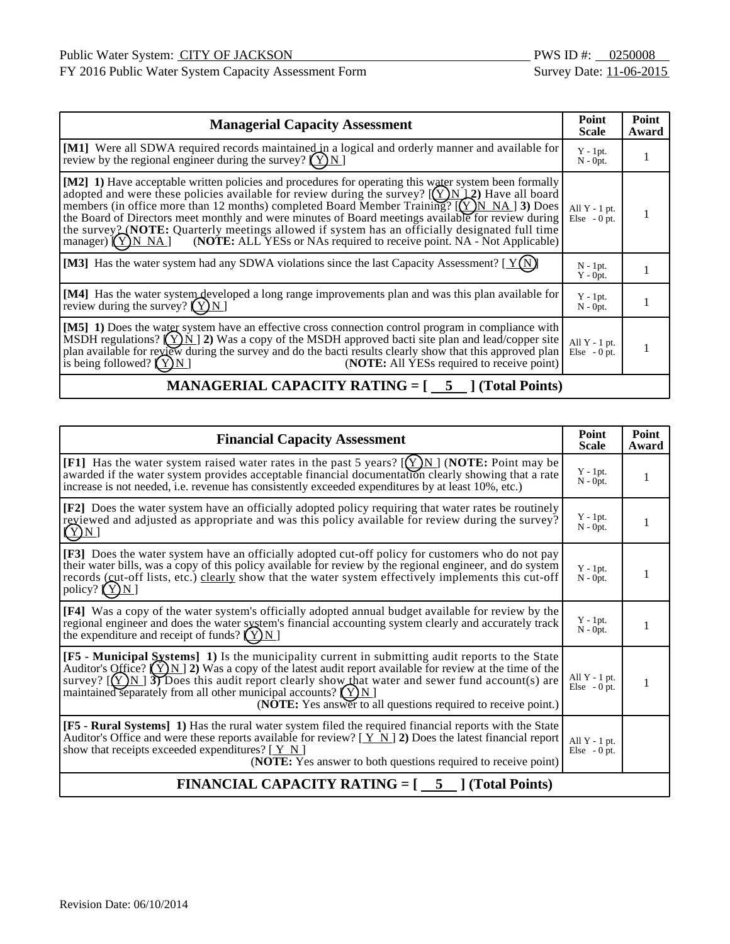FY 2016 Public Water System Capacity Assessment Form Survey Date: 11-06-2015

| <b>Managerial Capacity Assessment</b>                                                                                                                                                                                                                                                                                                                                                                                                                                                                                                                                                                               |                                  | Point<br>Award |
|---------------------------------------------------------------------------------------------------------------------------------------------------------------------------------------------------------------------------------------------------------------------------------------------------------------------------------------------------------------------------------------------------------------------------------------------------------------------------------------------------------------------------------------------------------------------------------------------------------------------|----------------------------------|----------------|
| [M1] Were all SDWA required records maintained in a logical and orderly manner and available for<br>review by the regional engineer during the survey? $(Y)N$                                                                                                                                                                                                                                                                                                                                                                                                                                                       | $Y - 1pt.$<br>$N - 0pt.$         |                |
| [M2] 1) Have acceptable written policies and procedures for operating this water system been formally<br>adopted and were these policies available for review during the survey? $[(Y)N]2$ Have all board<br>members (in office more than 12 months) completed Board Member Training? $[(Y)N NA]$ 3) Does<br>the Board of Directors meet monthly and were minutes of Board meetings available for review during<br>the survey 2 (NOTE: Quarterly meetings allowed if system has an officially designated full time<br>(NOTE: ALL YESs or NAs required to receive point. NA - Not Applicable)<br>manager) $(Y)$ N NA | All $Y - 1$ pt.<br>Else $-0$ pt. |                |
| [M3] Has the water system had any SDWA violations since the last Capacity Assessment? [ $Y(N)$ ]                                                                                                                                                                                                                                                                                                                                                                                                                                                                                                                    | $N - 1pt$ .<br>$Y - 0pt.$        |                |
| [M4] Has the water system developed a long range improvements plan and was this plan available for<br>review during the survey? $(Y)N$                                                                                                                                                                                                                                                                                                                                                                                                                                                                              | $Y - 1pt.$<br>$N - 0pt.$         |                |
| [M5] 1) Does the water system have an effective cross connection control program in compliance with<br>MSDH regulations? $(Y)$ N   2) Was a copy of the MSDH approved bacti site plan and lead/copper site<br>plan available for review during the survey and do the bacti results clearly show that this approved plan<br>is being followed? $(Y)$ N<br>( <b>NOTE:</b> All YESs required to receive point)                                                                                                                                                                                                         |                                  |                |

# **MANAGERIAL CAPACITY RATING = [**  $\overline{5}$  **] (Total Points)**

| <b>Financial Capacity Assessment</b>                                                                                                                                                                                                                                                                                                                                                                                                                                    |                                       | Point<br>Award |  |  |
|-------------------------------------------------------------------------------------------------------------------------------------------------------------------------------------------------------------------------------------------------------------------------------------------------------------------------------------------------------------------------------------------------------------------------------------------------------------------------|---------------------------------------|----------------|--|--|
| [F1] Has the water system raised water rates in the past 5 years? $[(Y)_N]$ (NOTE: Point may be<br>awarded if the water system provides acceptable financial documentation clearly showing that a rate<br>increase is not needed, i.e. revenue has consistently exceeded expenditures by at least 10%, etc.)                                                                                                                                                            | $Y - 1pt.$<br>$N - 0$ <sub>pt</sub> . | 1              |  |  |
| [F2] Does the water system have an officially adopted policy requiring that water rates be routinely<br>reviewed and adjusted as appropriate and was this policy available for review during the survey?<br>(Y)N                                                                                                                                                                                                                                                        | $Y - 1pt.$<br>$N - 0pt$ .             | 1              |  |  |
| [F3] Does the water system have an officially adopted cut-off policy for customers who do not pay<br>their water bills, was a copy of this policy available for review by the regional engineer, and do system<br>records (cut-off lists, etc.) clearly show that the water system effectively implements this cut-off<br>policy? $(Y)N$                                                                                                                                | $Y - 1pt.$<br>$N - 0pt$ .             | 1              |  |  |
| [F4] Was a copy of the water system's officially adopted annual budget available for review by the<br>regional engineer and does the water system's financial accounting system clearly and accurately track<br>the expenditure and receipt of funds? $(Y)N$                                                                                                                                                                                                            | $Y - 1pt.$<br>$N - 0$ <sub>pt</sub> . |                |  |  |
| <b>[F5 - Municipal Systems] 1)</b> Is the municipality current in submitting audit reports to the State<br>Auditor's Office? $(\underline{Y}N)$ 2) Was a copy of the latest audit report available for review at the time of the<br>survey? $[(Y)N]$ Troes this audit report clearly show that water and sewer fund account(s) are<br>maintained separately from all other municipal accounts? $(Y)N$<br>(NOTE: Yes answer to all questions required to receive point.) | All $Y - 1$ pt.<br>Else $-0$ pt.      | 1              |  |  |
| [F5 - Rural Systems] 1) Has the rural water system filed the required financial reports with the State<br>Auditor's Office and were these reports available for review? $[\underline{Y} \underline{N}]$ 2) Does the latest financial report<br>show that receipts exceeded expenditures? $[ Y N ]$<br>(NOTE: Yes answer to both questions required to receive point)                                                                                                    | All $Y - 1$ pt.<br>Else $-0$ pt.      |                |  |  |
| <b>FINANCIAL CAPACITY RATING = <math>\begin{bmatrix} 5 \\ 1 \end{bmatrix}</math> (Total Points)</b>                                                                                                                                                                                                                                                                                                                                                                     |                                       |                |  |  |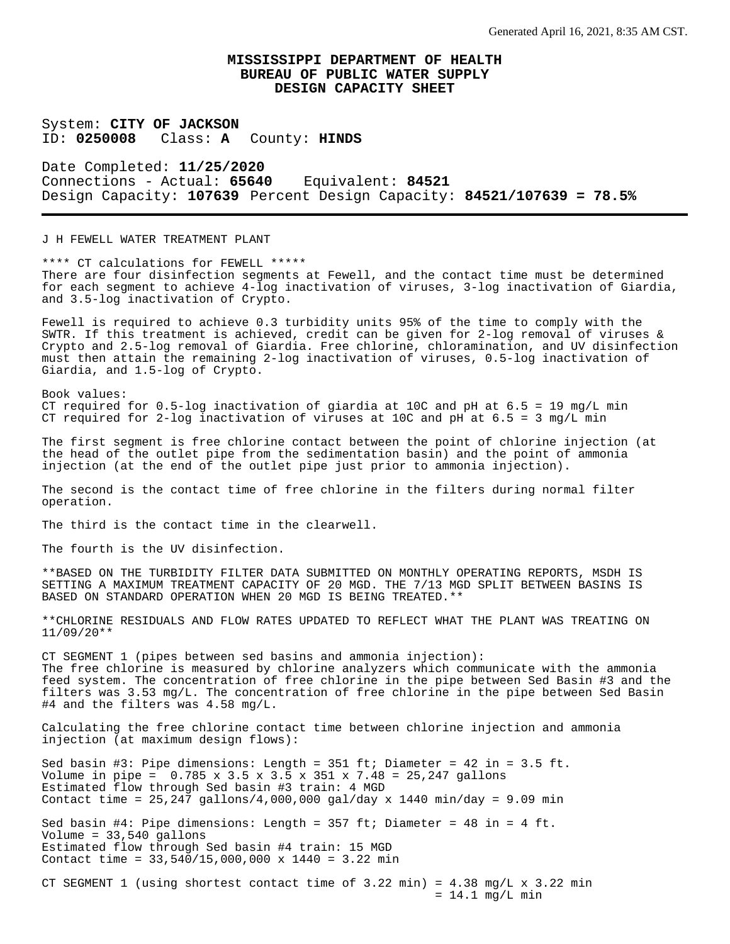System: **CITY OF JACKSON** ID: **0250008** Class: **A** County: **HINDS**

Date Completed: **11/25/2020** Connections - Actual: **65640** Equivalent: **84521** Design Capacity: **107639** Percent Design Capacity: **84521/107639 = 78.5%**

J H FEWELL WATER TREATMENT PLANT

\*\*\*\* CT calculations for FEWELL \*\*\*\*\* There are four disinfection segments at Fewell, and the contact time must be determined for each segment to achieve 4-log inactivation of viruses, 3-log inactivation of Giardia, and 3.5-log inactivation of Crypto.

Fewell is required to achieve 0.3 turbidity units 95% of the time to comply with the SWTR. If this treatment is achieved, credit can be given for 2-log removal of viruses & Crypto and 2.5-log removal of Giardia. Free chlorine, chloramination, and UV disinfection must then attain the remaining 2-log inactivation of viruses, 0.5-log inactivation of Giardia, and 1.5-log of Crypto.

Book values: CT required for  $0.5$ -log inactivation of giardia at 10C and pH at  $6.5 = 19$  mg/L min CT required for 2-log inactivation of viruses at 10C and pH at  $6.5 = 3$  mg/L min

The first segment is free chlorine contact between the point of chlorine injection (at the head of the outlet pipe from the sedimentation basin) and the point of ammonia injection (at the end of the outlet pipe just prior to ammonia injection).

The second is the contact time of free chlorine in the filters during normal filter operation.

The third is the contact time in the clearwell.

The fourth is the UV disinfection.

\*\*BASED ON THE TURBIDITY FILTER DATA SUBMITTED ON MONTHLY OPERATING REPORTS, MSDH IS SETTING A MAXIMUM TREATMENT CAPACITY OF 20 MGD. THE 7/13 MGD SPLIT BETWEEN BASINS IS BASED ON STANDARD OPERATION WHEN 20 MGD IS BEING TREATED.\*\*

\*\*CHLORINE RESIDUALS AND FLOW RATES UPDATED TO REFLECT WHAT THE PLANT WAS TREATING ON 11/09/20\*\*

CT SEGMENT 1 (pipes between sed basins and ammonia injection): The free chlorine is measured by chlorine analyzers which communicate with the ammonia feed system. The concentration of free chlorine in the pipe between Sed Basin #3 and the filters was 3.53 mg/L. The concentration of free chlorine in the pipe between Sed Basin #4 and the filters was 4.58 mg/L.

Calculating the free chlorine contact time between chlorine injection and ammonia injection (at maximum design flows):

Sed basin #3: Pipe dimensions: Length = 351 ft; Diameter = 42 in = 3.5 ft. Volume in pipe =  $0.785 \times 3.5 \times 3.5 \times 351 \times 7.48 = 25,247$  gallons Estimated flow through Sed basin #3 train: 4 MGD Contact time =  $25,247$  gallons/4,000,000 gal/day x 1440 min/day = 9.09 min Sed basin #4: Pipe dimensions: Length =  $357$  ft; Diameter =  $48$  in =  $4$  ft. Volume = 33,540 gallons Estimated flow through Sed basin #4 train: 15 MGD Contact time = 33,540/15,000,000 x 1440 = 3.22 min

CT SEGMENT 1 (using shortest contact time of  $3.22$  min) =  $4.38$  mg/L x  $3.22$  min  $= 14.1$  mg/L min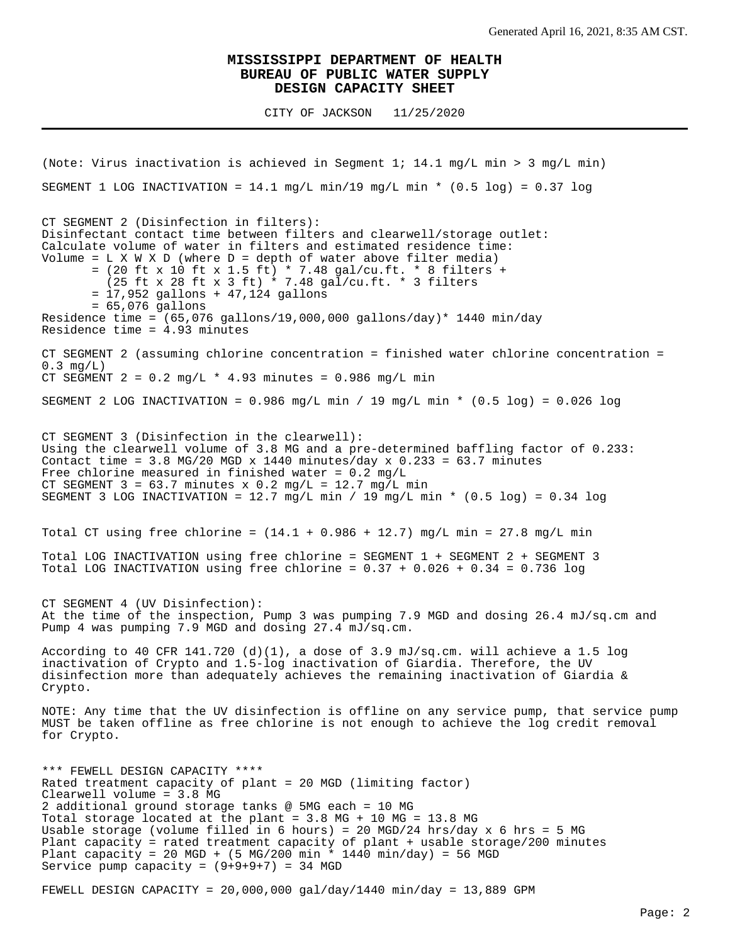CITY OF JACKSON 11/25/2020

(Note: Virus inactivation is achieved in Segment 1; 14.1 mg/L min > 3 mg/L min) SEGMENT 1 LOG INACTIVATION =  $14.1$  mg/L min/19 mg/L min \* (0.5 log) = 0.37 log CT SEGMENT 2 (Disinfection in filters): Disinfectant contact time between filters and clearwell/storage outlet: Calculate volume of water in filters and estimated residence time: Volume =  $L X W X D$  (where  $D =$  depth of water above filter media) = (20 ft x 10 ft x 1.5 ft) \* 7.48 gal/cu.ft. \* 8 filters + (25 ft x 28 ft x 3 ft) \* 7.48 gal/cu.ft. \* 3 filters = 17,952 gallons + 47,124 gallons = 65,076 gallons Residence time =  $(65,076 \text{ gallons}/19,000,000 \text{ gallons/day})* 1440 \text{ min/day}$ Residence time = 4.93 minutes CT SEGMENT 2 (assuming chlorine concentration = finished water chlorine concentration =  $0.3$  mg/L) CT SEGMENT  $2 = 0.2$  mg/L  $*$  4.93 minutes = 0.986 mg/L min SEGMENT 2 LOG INACTIVATION =  $0.986$  mg/L min / 19 mg/L min \*  $(0.5 \text{ log})$  =  $0.026$  log CT SEGMENT 3 (Disinfection in the clearwell): Using the clearwell volume of 3.8 MG and a pre-determined baffling factor of 0.233: Contact time =  $3.8$  MG/20 MGD x 1440 minutes/day x 0.233 =  $63.7$  minutes Free chlorine measured in finished water =  $0.2$  mg/L CT SEGMENT  $3 = 63.7$  minutes x 0.2 mg/L = 12.7 mg/L min SEGMENT 3 LOG INACTIVATION =  $12.7$  mg/L min / 19 mg/L min \* (0.5 log) = 0.34 log Total CT using free chlorine =  $(14.1 + 0.986 + 12.7)$  mg/L min = 27.8 mg/L min Total LOG INACTIVATION using free chlorine = SEGMENT 1 + SEGMENT 2 + SEGMENT 3 Total LOG INACTIVATION using free chlorine =  $0.37 + 0.026 + 0.34 = 0.736$  log CT SEGMENT 4 (UV Disinfection): At the time of the inspection, Pump 3 was pumping 7.9 MGD and dosing 26.4 mJ/sq.cm and Pump 4 was pumping 7.9 MGD and dosing 27.4 mJ/sq.cm. According to 40 CFR 141.720 (d)(1), a dose of 3.9 mJ/sq.cm. will achieve a 1.5 log inactivation of Crypto and 1.5-log inactivation of Giardia. Therefore, the UV disinfection more than adequately achieves the remaining inactivation of Giardia & Crypto. NOTE: Any time that the UV disinfection is offline on any service pump, that service pump MUST be taken offline as free chlorine is not enough to achieve the log credit removal for Crypto. \*\*\* FEWELL DESIGN CAPACITY \*\*\*\* Rated treatment capacity of plant = 20 MGD (limiting factor) Clearwell volume = 3.8 MG 2 additional ground storage tanks @ 5MG each = 10 MG Total storage located at the plant = 3.8 MG + 10 MG = 13.8 MG Usable storage (volume filled in 6 hours) = 20 MGD/24 hrs/day  $x$  6 hrs = 5 MG Plant capacity = rated treatment capacity of plant + usable storage/200 minutes Plant capacity = 20 MGD + (5 MG/200 min \* 1440 min/day) = 56 MGD Service pump capacity =  $(9+9+9+7)$  = 34 MGD

FEWELL DESIGN CAPACITY =  $20,000,000$  gal/day/1440 min/day = 13,889 GPM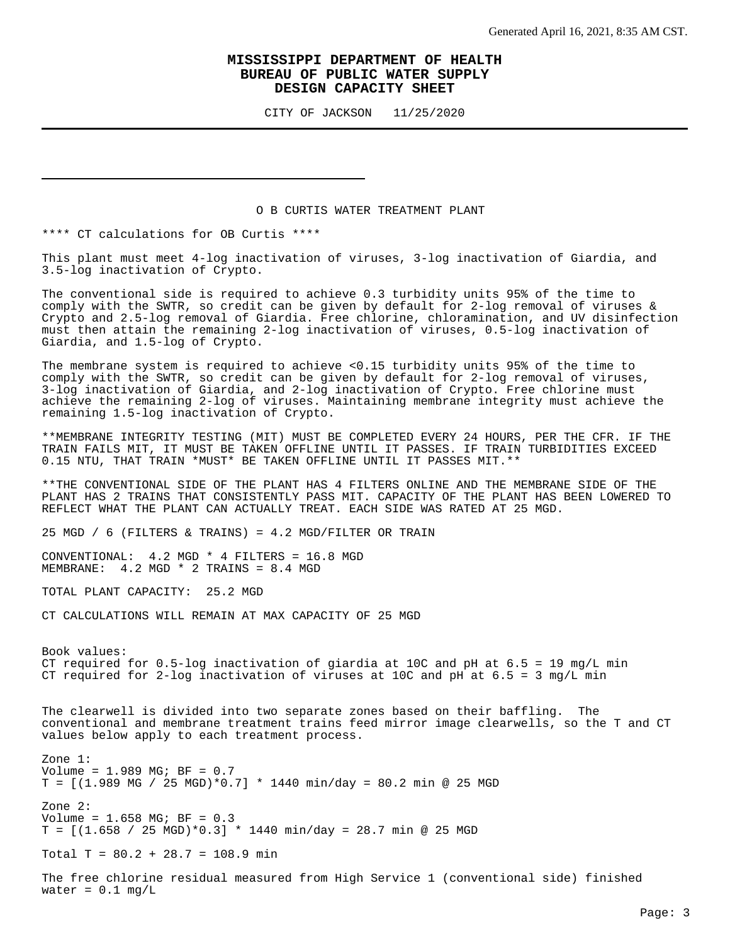CITY OF JACKSON 11/25/2020

#### O B CURTIS WATER TREATMENT PLANT

\*\*\*\* CT calculations for OB Curtis \*\*\*\*

This plant must meet 4-log inactivation of viruses, 3-log inactivation of Giardia, and 3.5-log inactivation of Crypto.

The conventional side is required to achieve 0.3 turbidity units 95% of the time to comply with the SWTR, so credit can be given by default for 2-log removal of viruses & Crypto and 2.5-log removal of Giardia. Free chlorine, chloramination, and UV disinfection must then attain the remaining 2-log inactivation of viruses, 0.5-log inactivation of Giardia, and 1.5-log of Crypto.

The membrane system is required to achieve <0.15 turbidity units 95% of the time to comply with the SWTR, so credit can be given by default for 2-log removal of viruses, 3-log inactivation of Giardia, and 2-log inactivation of Crypto. Free chlorine must achieve the remaining 2-log of viruses. Maintaining membrane integrity must achieve the remaining 1.5-log inactivation of Crypto.

\*\*MEMBRANE INTEGRITY TESTING (MIT) MUST BE COMPLETED EVERY 24 HOURS, PER THE CFR. IF THE TRAIN FAILS MIT, IT MUST BE TAKEN OFFLINE UNTIL IT PASSES. IF TRAIN TURBIDITIES EXCEED 0.15 NTU, THAT TRAIN \*MUST\* BE TAKEN OFFLINE UNTIL IT PASSES MIT.\*\*

\*\*THE CONVENTIONAL SIDE OF THE PLANT HAS 4 FILTERS ONLINE AND THE MEMBRANE SIDE OF THE PLANT HAS 2 TRAINS THAT CONSISTENTLY PASS MIT. CAPACITY OF THE PLANT HAS BEEN LOWERED TO REFLECT WHAT THE PLANT CAN ACTUALLY TREAT. EACH SIDE WAS RATED AT 25 MGD.

25 MGD / 6 (FILTERS & TRAINS) =  $4.2$  MGD/FILTER OR TRAIN

CONVENTIONAL: 4.2 MGD \* 4 FILTERS = 16.8 MGD MEMBRANE: 4.2 MGD \* 2 TRAINS = 8.4 MGD

TOTAL PLANT CAPACITY: 25.2 MGD

CT CALCULATIONS WILL REMAIN AT MAX CAPACITY OF 25 MGD

Book values: CT required for  $0.5$ -log inactivation of giardia at 10C and pH at  $6.5 = 19$  mg/L min CT required for 2-log inactivation of viruses at 10C and pH at  $6.5 = 3$  mg/L min

The clearwell is divided into two separate zones based on their baffling. The conventional and membrane treatment trains feed mirror image clearwells, so the T and CT values below apply to each treatment process.

Zone 1: Volume = 1.989 MG; BF = 0.7  $T = [(1.989 \text{ MG} / 25 \text{ MGD})*0.7] * 1440 \text{ min/day} = 80.2 \text{ min}$  @ 25 MGD Zone 2: Volume = 1.658 MG; BF = 0.3  $T = [(1.658 / 25 MGD)*0.3] * 1440 m in/day = 28.7 m in @ 25 MGD$ 

Total T =  $80.2 + 28.7 = 108.9$  min

The free chlorine residual measured from High Service 1 (conventional side) finished water =  $0.1$  mg/L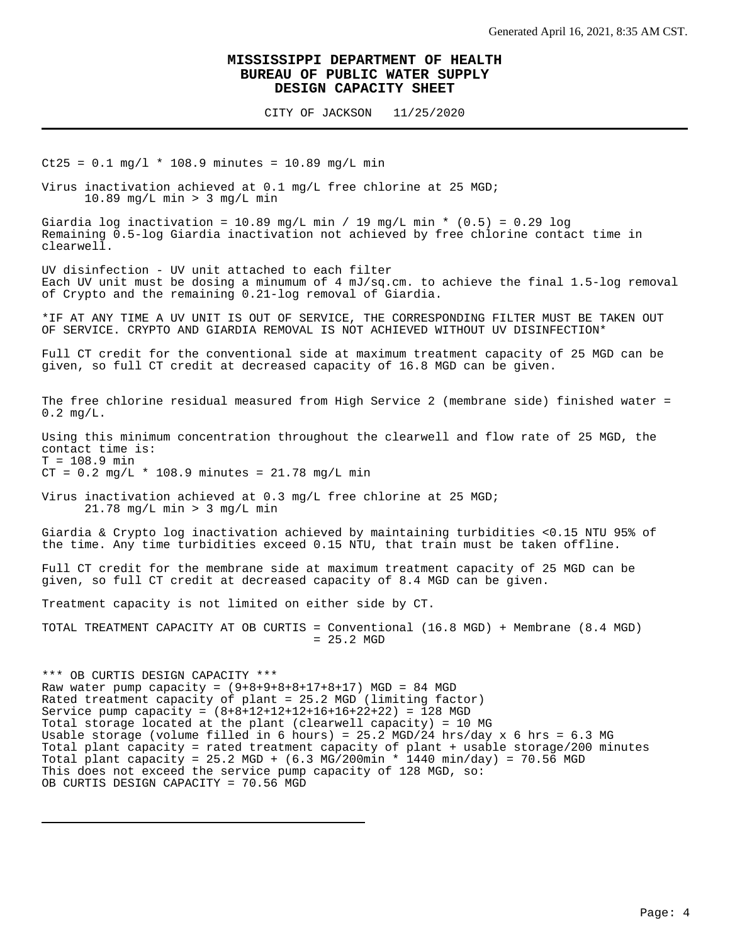CITY OF JACKSON 11/25/2020

 $Ct25 = 0.1$  mg/l \* 108.9 minutes = 10.89 mg/L min

Virus inactivation achieved at 0.1 mg/L free chlorine at 25 MGD; 10.89 mg/L min > 3 mg/L min

Giardia log inactivation = 10.89 mg/L min / 19 mg/L min \*  $(0.5)$  = 0.29 log Remaining 0.5-log Giardia inactivation not achieved by free chlorine contact time in clearwell.

UV disinfection - UV unit attached to each filter Each UV unit must be dosing a minumum of 4 mJ/sq.cm. to achieve the final 1.5-log removal of Crypto and the remaining 0.21-log removal of Giardia.

\*IF AT ANY TIME A UV UNIT IS OUT OF SERVICE, THE CORRESPONDING FILTER MUST BE TAKEN OUT OF SERVICE. CRYPTO AND GIARDIA REMOVAL IS NOT ACHIEVED WITHOUT UV DISINFECTION\*

Full CT credit for the conventional side at maximum treatment capacity of 25 MGD can be given, so full CT credit at decreased capacity of 16.8 MGD can be given.

The free chlorine residual measured from High Service 2 (membrane side) finished water = 0.2 mg/L.

Using this minimum concentration throughout the clearwell and flow rate of 25 MGD, the contact time is:  $T = 108.9$  min

 $CT = 0.2 mg/L * 108.9 minutes = 21.78 mg/L min$ 

Virus inactivation achieved at 0.3 mg/L free chlorine at 25 MGD; 21.78 mg/L min > 3 mg/L min

Giardia & Crypto log inactivation achieved by maintaining turbidities <0.15 NTU 95% of the time. Any time turbidities exceed 0.15 NTU, that train must be taken offline.

Full CT credit for the membrane side at maximum treatment capacity of 25 MGD can be given, so full CT credit at decreased capacity of 8.4 MGD can be given.

Treatment capacity is not limited on either side by CT.

TOTAL TREATMENT CAPACITY AT OB CURTIS = Conventional (16.8 MGD) + Membrane (8.4 MGD) = 25.2 MGD

\*\*\* OB CURTIS DESIGN CAPACITY \*\*\* Raw water pump capacity =  $(9+8+9+8+8+17+8+17)$  MGD = 84 MGD Rated treatment capacity of plant = 25.2 MGD (limiting factor) Service pump capacity =  $(8+8+12+12+12+16+16+22+22) = 128$  MGD Total storage located at the plant (clearwell capacity) = 10 MG Usable storage (volume filled in 6 hours) = 25.2 MGD/24 hrs/day x 6 hrs = 6.3 MG Total plant capacity = rated treatment capacity of plant + usable storage/200 minutes Total plant capacity = 25.2 MGD +  $(6.3 \text{ MG}/200 \text{min} * 1440 \text{ min}/\text{day}) = 70.56 \text{ MGD}$ This does not exceed the service pump capacity of 128 MGD, so: OB CURTIS DESIGN CAPACITY = 70.56 MGD